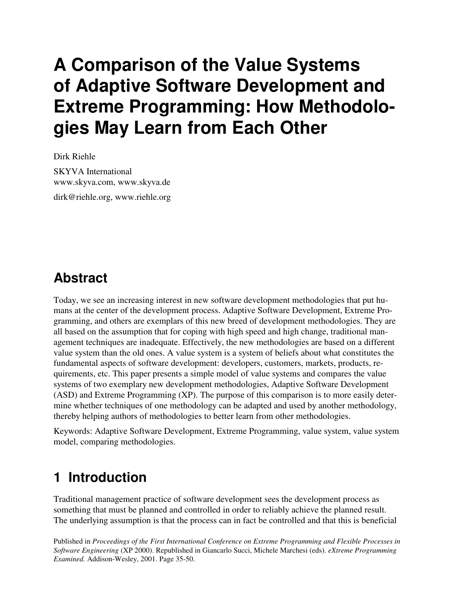# **A Comparison of the Value Systems of Adaptive Software Development and Extreme Programming: How Methodologies May Learn from Each Other**

Dirk Riehle

SKYVA International www.skyva.com, www.skyva.de

dirk@riehle.org, www.riehle.org

### **Abstract**

Today, we see an increasing interest in new software development methodologies that put humans at the center of the development process. Adaptive Software Development, Extreme Programming, and others are exemplars of this new breed of development methodologies. They are all based on the assumption that for coping with high speed and high change, traditional management techniques are inadequate. Effectively, the new methodologies are based on a different value system than the old ones. A value system is a system of beliefs about what constitutes the fundamental aspects of software development: developers, customers, markets, products, requirements, etc. This paper presents a simple model of value systems and compares the value systems of two exemplary new development methodologies, Adaptive Software Development (ASD) and Extreme Programming (XP). The purpose of this comparison is to more easily determine whether techniques of one methodology can be adapted and used by another methodology, thereby helping authors of methodologies to better learn from other methodologies.

Keywords: Adaptive Software Development, Extreme Programming, value system, value system model, comparing methodologies.

### **1 Introduction**

Traditional management practice of software development sees the development process as something that must be planned and controlled in order to reliably achieve the planned result. The underlying assumption is that the process can in fact be controlled and that this is beneficial

Published in *Proceedings of the First International Conference on Extreme Programming and Flexible Processes in Software Engineering* (XP 2000). Republished in Giancarlo Succi, Michele Marchesi (eds). *eXtreme Programming Examined.* Addison-Wesley, 2001. Page 35-50.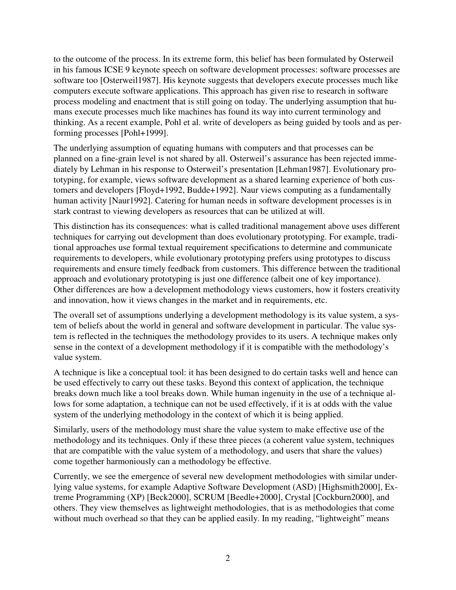to the outcome of the process. In its extreme form, this belief has been formulated by Osterweil in his famous ICSE 9 keynote speech on software development processes: software processes are software too [Osterweil1987]. His keynote suggests that developers execute processes much like computers execute software applications. This approach has given rise to research in software process modeling and enactment that is still going on today. The underlying assumption that humans execute processes much like machines has found its way into current terminology and thinking. As a recent example, Pohl et al. write of developers as being guided by tools and as performing processes [Pohl+1999].

The underlying assumption of equating humans with computers and that processes can be planned on a fine-grain level is not shared by all. Osterweil's assurance has been rejected immediately by Lehman in his response to Osterweil's presentation [Lehman1987]. Evolutionary prototyping, for example, views software development as a shared learning experience of both customers and developers [Floyd+1992, Budde+1992]. Naur views computing as a fundamentally human activity [Naur1992]. Catering for human needs in software development processes is in stark contrast to viewing developers as resources that can be utilized at will.

This distinction has its consequences: what is called traditional management above uses different techniques for carrying out development than does evolutionary prototyping. For example, traditional approaches use formal textual requirement specifications to determine and communicate requirements to developers, while evolutionary prototyping prefers using prototypes to discuss requirements and ensure timely feedback from customers. This difference between the traditional approach and evolutionary prototyping is just one difference (albeit one of key importance). Other differences are how a development methodology views customers, how it fosters creativity and innovation, how it views changes in the market and in requirements, etc.

The overall set of assumptions underlying a development methodology is its value system, a system of beliefs about the world in general and software development in particular. The value system is reflected in the techniques the methodology provides to its users. A technique makes only sense in the context of a development methodology if it is compatible with the methodology's value system.

A technique is like a conceptual tool: it has been designed to do certain tasks well and hence can be used effectively to carry out these tasks. Beyond this context of application, the technique breaks down much like a tool breaks down. While human ingenuity in the use of a technique allows for some adaptation, a technique can not be used effectively, if it is at odds with the value system of the underlying methodology in the context of which it is being applied.

Similarly, users of the methodology must share the value system to make effective use of the methodology and its techniques. Only if these three pieces (a coherent value system, techniques that are compatible with the value system of a methodology, and users that share the values) come together harmoniously can a methodology be effective.

Currently, we see the emergence of several new development methodologies with similar underlying value systems, for example Adaptive Software Development (ASD) [Highsmith2000], Extreme Programming (XP) [Beck2000], SCRUM [Beedle+2000], Crystal [Cockburn2000], and others. They view themselves as lightweight methodologies, that is as methodologies that come without much overhead so that they can be applied easily. In my reading, "lightweight" means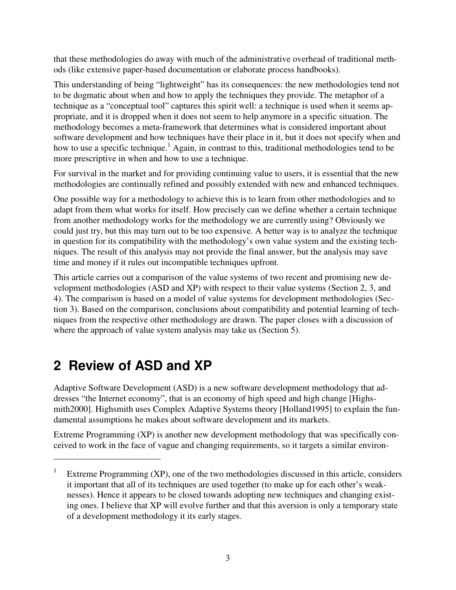that these methodologies do away with much of the administrative overhead of traditional methods (like extensive paper-based documentation or elaborate process handbooks).

This understanding of being "lightweight" has its consequences: the new methodologies tend not to be dogmatic about when and how to apply the techniques they provide. The metaphor of a technique as a "conceptual tool" captures this spirit well: a technique is used when it seems appropriate, and it is dropped when it does not seem to help anymore in a specific situation. The methodology becomes a meta-framework that determines what is considered important about software development and how techniques have their place in it, but it does not specify when and how to use a specific technique.<sup>1</sup> Again, in contrast to this, traditional methodologies tend to be more prescriptive in when and how to use a technique.

For survival in the market and for providing continuing value to users, it is essential that the new methodologies are continually refined and possibly extended with new and enhanced techniques.

One possible way for a methodology to achieve this is to learn from other methodologies and to adapt from them what works for itself. How precisely can we define whether a certain technique from another methodology works for the methodology we are currently using? Obviously we could just try, but this may turn out to be too expensive. A better way is to analyze the technique in question for its compatibility with the methodology's own value system and the existing techniques. The result of this analysis may not provide the final answer, but the analysis may save time and money if it rules out incompatible techniques upfront.

This article carries out a comparison of the value systems of two recent and promising new development methodologies (ASD and XP) with respect to their value systems (Section 2, 3, and 4). The comparison is based on a model of value systems for development methodologies (Section 3). Based on the comparison, conclusions about compatibility and potential learning of techniques from the respective other methodology are drawn. The paper closes with a discussion of where the approach of value system analysis may take us (Section 5).

# **2 Review of ASD and XP**

Adaptive Software Development (ASD) is a new software development methodology that addresses "the Internet economy", that is an economy of high speed and high change [Highsmith2000]. Highsmith uses Complex Adaptive Systems theory [Holland1995] to explain the fundamental assumptions he makes about software development and its markets.

Extreme Programming (XP) is another new development methodology that was specifically conceived to work in the face of vague and changing requirements, so it targets a similar environ-

<sup>1</sup> Extreme Programming (XP), one of the two methodologies discussed in this article, considers it important that all of its techniques are used together (to make up for each other's weaknesses). Hence it appears to be closed towards adopting new techniques and changing existing ones. I believe that XP will evolve further and that this aversion is only a temporary state of a development methodology it its early stages.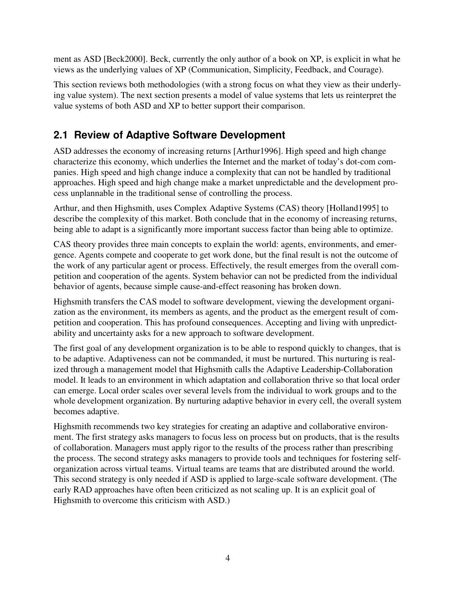ment as ASD [Beck2000]. Beck, currently the only author of a book on XP, is explicit in what he views as the underlying values of XP (Communication, Simplicity, Feedback, and Courage).

This section reviews both methodologies (with a strong focus on what they view as their underlying value system). The next section presents a model of value systems that lets us reinterpret the value systems of both ASD and XP to better support their comparison.

#### **2.1 Review of Adaptive Software Development**

ASD addresses the economy of increasing returns [Arthur1996]. High speed and high change characterize this economy, which underlies the Internet and the market of today's dot-com companies. High speed and high change induce a complexity that can not be handled by traditional approaches. High speed and high change make a market unpredictable and the development process unplannable in the traditional sense of controlling the process.

Arthur, and then Highsmith, uses Complex Adaptive Systems (CAS) theory [Holland1995] to describe the complexity of this market. Both conclude that in the economy of increasing returns, being able to adapt is a significantly more important success factor than being able to optimize.

CAS theory provides three main concepts to explain the world: agents, environments, and emergence. Agents compete and cooperate to get work done, but the final result is not the outcome of the work of any particular agent or process. Effectively, the result emerges from the overall competition and cooperation of the agents. System behavior can not be predicted from the individual behavior of agents, because simple cause-and-effect reasoning has broken down.

Highsmith transfers the CAS model to software development, viewing the development organization as the environment, its members as agents, and the product as the emergent result of competition and cooperation. This has profound consequences. Accepting and living with unpredictability and uncertainty asks for a new approach to software development.

The first goal of any development organization is to be able to respond quickly to changes, that is to be adaptive. Adaptiveness can not be commanded, it must be nurtured. This nurturing is realized through a management model that Highsmith calls the Adaptive Leadership-Collaboration model. It leads to an environment in which adaptation and collaboration thrive so that local order can emerge. Local order scales over several levels from the individual to work groups and to the whole development organization. By nurturing adaptive behavior in every cell, the overall system becomes adaptive.

Highsmith recommends two key strategies for creating an adaptive and collaborative environment. The first strategy asks managers to focus less on process but on products, that is the results of collaboration. Managers must apply rigor to the results of the process rather than prescribing the process. The second strategy asks managers to provide tools and techniques for fostering selforganization across virtual teams. Virtual teams are teams that are distributed around the world. This second strategy is only needed if ASD is applied to large-scale software development. (The early RAD approaches have often been criticized as not scaling up. It is an explicit goal of Highsmith to overcome this criticism with ASD.)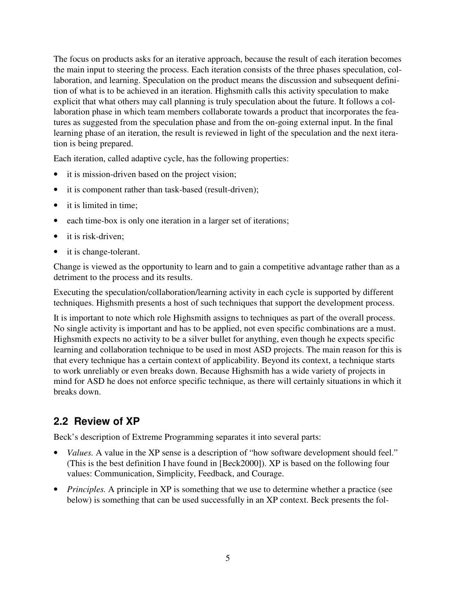The focus on products asks for an iterative approach, because the result of each iteration becomes the main input to steering the process. Each iteration consists of the three phases speculation, collaboration, and learning. Speculation on the product means the discussion and subsequent definition of what is to be achieved in an iteration. Highsmith calls this activity speculation to make explicit that what others may call planning is truly speculation about the future. It follows a collaboration phase in which team members collaborate towards a product that incorporates the features as suggested from the speculation phase and from the on-going external input. In the final learning phase of an iteration, the result is reviewed in light of the speculation and the next iteration is being prepared.

Each iteration, called adaptive cycle, has the following properties:

- it is mission-driven based on the project vision;
- it is component rather than task-based (result-driven);
- it is limited in time:
- each time-box is only one iteration in a larger set of iterations;
- it is risk-driven:
- it is change-tolerant.

Change is viewed as the opportunity to learn and to gain a competitive advantage rather than as a detriment to the process and its results.

Executing the speculation/collaboration/learning activity in each cycle is supported by different techniques. Highsmith presents a host of such techniques that support the development process.

It is important to note which role Highsmith assigns to techniques as part of the overall process. No single activity is important and has to be applied, not even specific combinations are a must. Highsmith expects no activity to be a silver bullet for anything, even though he expects specific learning and collaboration technique to be used in most ASD projects. The main reason for this is that every technique has a certain context of applicability. Beyond its context, a technique starts to work unreliably or even breaks down. Because Highsmith has a wide variety of projects in mind for ASD he does not enforce specific technique, as there will certainly situations in which it breaks down.

#### **2.2 Review of XP**

Beck's description of Extreme Programming separates it into several parts:

- *Values.* A value in the XP sense is a description of "how software development should feel." (This is the best definition I have found in [Beck2000]). XP is based on the following four values: Communication, Simplicity, Feedback, and Courage.
- *Principles.* A principle in XP is something that we use to determine whether a practice (see below) is something that can be used successfully in an XP context. Beck presents the fol-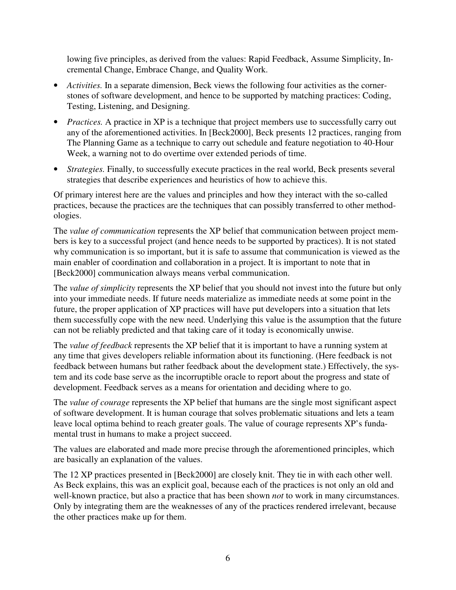lowing five principles, as derived from the values: Rapid Feedback, Assume Simplicity, Incremental Change, Embrace Change, and Quality Work.

- *Activities*. In a separate dimension, Beck views the following four activities as the cornerstones of software development, and hence to be supported by matching practices: Coding, Testing, Listening, and Designing.
- *Practices.* A practice in XP is a technique that project members use to successfully carry out any of the aforementioned activities. In [Beck2000], Beck presents 12 practices, ranging from The Planning Game as a technique to carry out schedule and feature negotiation to 40-Hour Week, a warning not to do overtime over extended periods of time.
- *Strategies.* Finally, to successfully execute practices in the real world, Beck presents several strategies that describe experiences and heuristics of how to achieve this.

Of primary interest here are the values and principles and how they interact with the so-called practices, because the practices are the techniques that can possibly transferred to other methodologies.

The *value of communication* represents the XP belief that communication between project members is key to a successful project (and hence needs to be supported by practices). It is not stated why communication is so important, but it is safe to assume that communication is viewed as the main enabler of coordination and collaboration in a project. It is important to note that in [Beck2000] communication always means verbal communication.

The *value of simplicity* represents the XP belief that you should not invest into the future but only into your immediate needs. If future needs materialize as immediate needs at some point in the future, the proper application of XP practices will have put developers into a situation that lets them successfully cope with the new need. Underlying this value is the assumption that the future can not be reliably predicted and that taking care of it today is economically unwise.

The *value of feedback* represents the XP belief that it is important to have a running system at any time that gives developers reliable information about its functioning. (Here feedback is not feedback between humans but rather feedback about the development state.) Effectively, the system and its code base serve as the incorruptible oracle to report about the progress and state of development. Feedback serves as a means for orientation and deciding where to go.

The *value of courage* represents the XP belief that humans are the single most significant aspect of software development. It is human courage that solves problematic situations and lets a team leave local optima behind to reach greater goals. The value of courage represents XP's fundamental trust in humans to make a project succeed.

The values are elaborated and made more precise through the aforementioned principles, which are basically an explanation of the values.

The 12 XP practices presented in [Beck2000] are closely knit. They tie in with each other well. As Beck explains, this was an explicit goal, because each of the practices is not only an old and well-known practice, but also a practice that has been shown *not* to work in many circumstances. Only by integrating them are the weaknesses of any of the practices rendered irrelevant, because the other practices make up for them.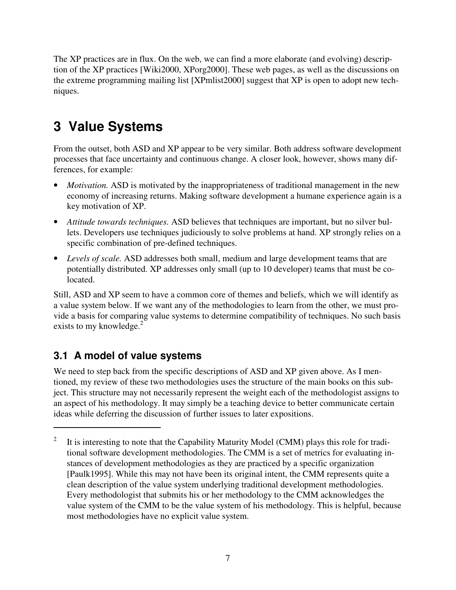The XP practices are in flux. On the web, we can find a more elaborate (and evolving) description of the XP practices [Wiki2000, XPorg2000]. These web pages, as well as the discussions on the extreme programming mailing list [XPmlist2000] suggest that XP is open to adopt new techniques.

# **3 Value Systems**

From the outset, both ASD and XP appear to be very similar. Both address software development processes that face uncertainty and continuous change. A closer look, however, shows many differences, for example:

- *Motivation.* ASD is motivated by the inappropriateness of traditional management in the new economy of increasing returns. Making software development a humane experience again is a key motivation of XP.
- *Attitude towards techniques.* ASD believes that techniques are important, but no silver bullets. Developers use techniques judiciously to solve problems at hand. XP strongly relies on a specific combination of pre-defined techniques.
- *Levels of scale.* ASD addresses both small, medium and large development teams that are potentially distributed. XP addresses only small (up to 10 developer) teams that must be colocated.

Still, ASD and XP seem to have a common core of themes and beliefs, which we will identify as a value system below. If we want any of the methodologies to learn from the other, we must provide a basis for comparing value systems to determine compatibility of techniques. No such basis exists to my knowledge.<sup>2</sup>

#### **3.1 A model of value systems**

We need to step back from the specific descriptions of ASD and XP given above. As I mentioned, my review of these two methodologies uses the structure of the main books on this subject. This structure may not necessarily represent the weight each of the methodologist assigns to an aspect of his methodology. It may simply be a teaching device to better communicate certain ideas while deferring the discussion of further issues to later expositions.

<sup>2</sup> It is interesting to note that the Capability Maturity Model (CMM) plays this role for traditional software development methodologies. The CMM is a set of metrics for evaluating instances of development methodologies as they are practiced by a specific organization [Paulk1995]. While this may not have been its original intent, the CMM represents quite a clean description of the value system underlying traditional development methodologies. Every methodologist that submits his or her methodology to the CMM acknowledges the value system of the CMM to be the value system of his methodology. This is helpful, because most methodologies have no explicit value system.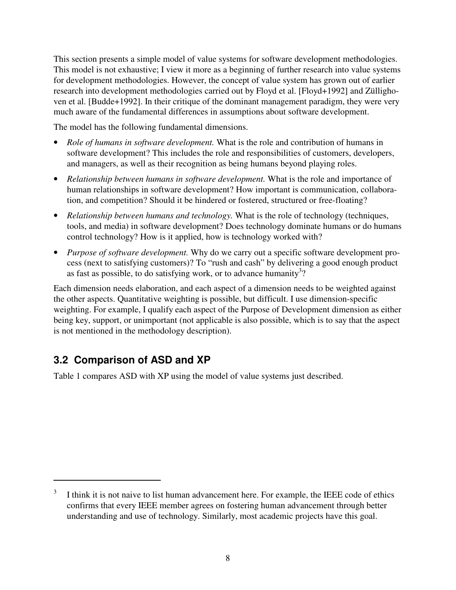This section presents a simple model of value systems for software development methodologies. This model is not exhaustive; I view it more as a beginning of further research into value systems for development methodologies. However, the concept of value system has grown out of earlier research into development methodologies carried out by Floyd et al. [Floyd+1992] and Züllighoven et al. [Budde+1992]. In their critique of the dominant management paradigm, they were very much aware of the fundamental differences in assumptions about software development.

The model has the following fundamental dimensions.

- *Role of humans in software development.* What is the role and contribution of humans in software development? This includes the role and responsibilities of customers, developers, and managers, as well as their recognition as being humans beyond playing roles.
- *Relationship between humans in software development.* What is the role and importance of human relationships in software development? How important is communication, collaboration, and competition? Should it be hindered or fostered, structured or free-floating?
- *Relationship between humans and technology.* What is the role of technology (techniques, tools, and media) in software development? Does technology dominate humans or do humans control technology? How is it applied, how is technology worked with?
- *Purpose of software development.* Why do we carry out a specific software development process (next to satisfying customers)? To "rush and cash" by delivering a good enough product as fast as possible, to do satisfying work, or to advance humanity<sup>3</sup>?

Each dimension needs elaboration, and each aspect of a dimension needs to be weighted against the other aspects. Quantitative weighting is possible, but difficult. I use dimension-specific weighting. For example, I qualify each aspect of the Purpose of Development dimension as either being key, support, or unimportant (not applicable is also possible, which is to say that the aspect is not mentioned in the methodology description).

#### **3.2 Comparison of ASD and XP**

Table 1 compares ASD with XP using the model of value systems just described.

<sup>3</sup> I think it is not naive to list human advancement here. For example, the IEEE code of ethics confirms that every IEEE member agrees on fostering human advancement through better understanding and use of technology. Similarly, most academic projects have this goal.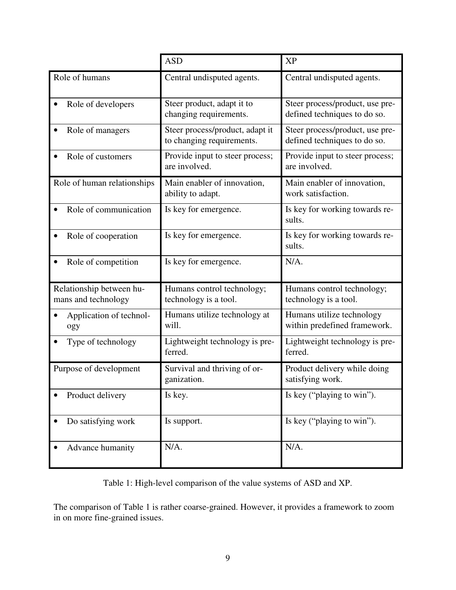|                                                 | <b>ASD</b>                                                   | <b>XP</b>                                                       |
|-------------------------------------------------|--------------------------------------------------------------|-----------------------------------------------------------------|
| Role of humans                                  | Central undisputed agents.                                   | Central undisputed agents.                                      |
| Role of developers                              | Steer product, adapt it to<br>changing requirements.         | Steer process/product, use pre-<br>defined techniques to do so. |
| Role of managers                                | Steer process/product, adapt it<br>to changing requirements. | Steer process/product, use pre-<br>defined techniques to do so. |
| Role of customers                               | Provide input to steer process;<br>are involved.             | Provide input to steer process;<br>are involved.                |
| Role of human relationships                     | Main enabler of innovation,<br>ability to adapt.             | Main enabler of innovation,<br>work satisfaction.               |
| Role of communication                           | Is key for emergence.                                        | Is key for working towards re-<br>sults.                        |
| Role of cooperation                             | Is key for emergence.                                        | Is key for working towards re-<br>sults.                        |
| Role of competition                             | Is key for emergence.                                        | $N/A$ .                                                         |
| Relationship between hu-<br>mans and technology | Humans control technology;<br>technology is a tool.          | Humans control technology;<br>technology is a tool.             |
| Application of technol-<br>ogy                  | Humans utilize technology at<br>will.                        | Humans utilize technology<br>within predefined framework.       |
| Type of technology                              | Lightweight technology is pre-<br>ferred.                    | Lightweight technology is pre-<br>ferred.                       |
| Purpose of development                          | Survival and thriving of or-<br>ganization.                  | Product delivery while doing<br>satisfying work.                |
| Product delivery                                | Is key.                                                      | Is key ("playing to win").                                      |
| Do satisfying work                              | Is support.                                                  | Is key ("playing to win").                                      |
| Advance humanity                                | N/A.                                                         | N/A.                                                            |

Table 1: High-level comparison of the value systems of ASD and XP.

The comparison of Table 1 is rather coarse-grained. However, it provides a framework to zoom in on more fine-grained issues.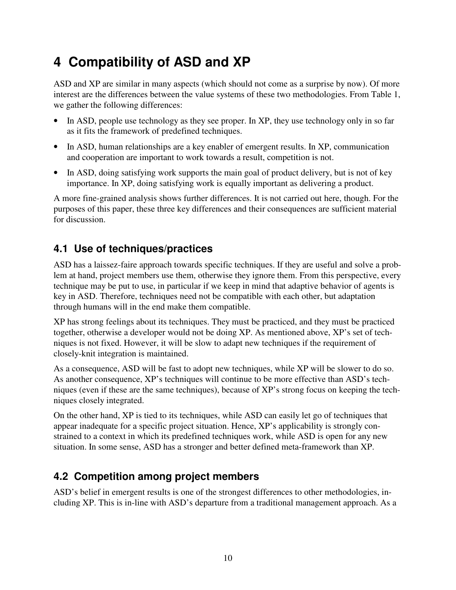# **4 Compatibility of ASD and XP**

ASD and XP are similar in many aspects (which should not come as a surprise by now). Of more interest are the differences between the value systems of these two methodologies. From Table 1, we gather the following differences:

- In ASD, people use technology as they see proper. In XP, they use technology only in so far as it fits the framework of predefined techniques.
- In ASD, human relationships are a key enabler of emergent results. In XP, communication and cooperation are important to work towards a result, competition is not.
- In ASD, doing satisfying work supports the main goal of product delivery, but is not of key importance. In XP, doing satisfying work is equally important as delivering a product.

A more fine-grained analysis shows further differences. It is not carried out here, though. For the purposes of this paper, these three key differences and their consequences are sufficient material for discussion.

#### **4.1 Use of techniques/practices**

ASD has a laissez-faire approach towards specific techniques. If they are useful and solve a problem at hand, project members use them, otherwise they ignore them. From this perspective, every technique may be put to use, in particular if we keep in mind that adaptive behavior of agents is key in ASD. Therefore, techniques need not be compatible with each other, but adaptation through humans will in the end make them compatible.

XP has strong feelings about its techniques. They must be practiced, and they must be practiced together, otherwise a developer would not be doing XP. As mentioned above, XP's set of techniques is not fixed. However, it will be slow to adapt new techniques if the requirement of closely-knit integration is maintained.

As a consequence, ASD will be fast to adopt new techniques, while XP will be slower to do so. As another consequence, XP's techniques will continue to be more effective than ASD's techniques (even if these are the same techniques), because of XP's strong focus on keeping the techniques closely integrated.

On the other hand, XP is tied to its techniques, while ASD can easily let go of techniques that appear inadequate for a specific project situation. Hence, XP's applicability is strongly constrained to a context in which its predefined techniques work, while ASD is open for any new situation. In some sense, ASD has a stronger and better defined meta-framework than XP.

#### **4.2 Competition among project members**

ASD's belief in emergent results is one of the strongest differences to other methodologies, including XP. This is in-line with ASD's departure from a traditional management approach. As a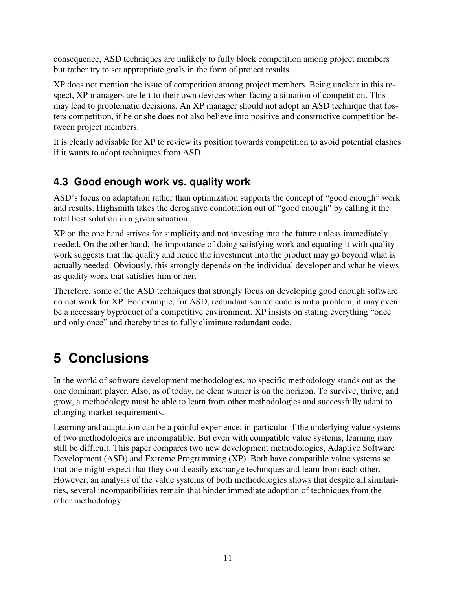consequence, ASD techniques are unlikely to fully block competition among project members but rather try to set appropriate goals in the form of project results.

XP does not mention the issue of competition among project members. Being unclear in this respect, XP managers are left to their own devices when facing a situation of competition. This may lead to problematic decisions. An XP manager should not adopt an ASD technique that fosters competition, if he or she does not also believe into positive and constructive competition between project members.

It is clearly advisable for XP to review its position towards competition to avoid potential clashes if it wants to adopt techniques from ASD.

#### **4.3 Good enough work vs. quality work**

ASD's focus on adaptation rather than optimization supports the concept of "good enough" work and results. Highsmith takes the derogative connotation out of "good enough" by calling it the total best solution in a given situation.

XP on the one hand strives for simplicity and not investing into the future unless immediately needed. On the other hand, the importance of doing satisfying work and equating it with quality work suggests that the quality and hence the investment into the product may go beyond what is actually needed. Obviously, this strongly depends on the individual developer and what he views as quality work that satisfies him or her.

Therefore, some of the ASD techniques that strongly focus on developing good enough software do not work for XP. For example, for ASD, redundant source code is not a problem, it may even be a necessary byproduct of a competitive environment. XP insists on stating everything "once and only once" and thereby tries to fully eliminate redundant code.

# **5 Conclusions**

In the world of software development methodologies, no specific methodology stands out as the one dominant player. Also, as of today, no clear winner is on the horizon. To survive, thrive, and grow, a methodology must be able to learn from other methodologies and successfully adapt to changing market requirements.

Learning and adaptation can be a painful experience, in particular if the underlying value systems of two methodologies are incompatible. But even with compatible value systems, learning may still be difficult. This paper compares two new development methodologies, Adaptive Software Development (ASD) and Extreme Programming (XP). Both have compatible value systems so that one might expect that they could easily exchange techniques and learn from each other. However, an analysis of the value systems of both methodologies shows that despite all similarities, several incompatibilities remain that hinder immediate adoption of techniques from the other methodology.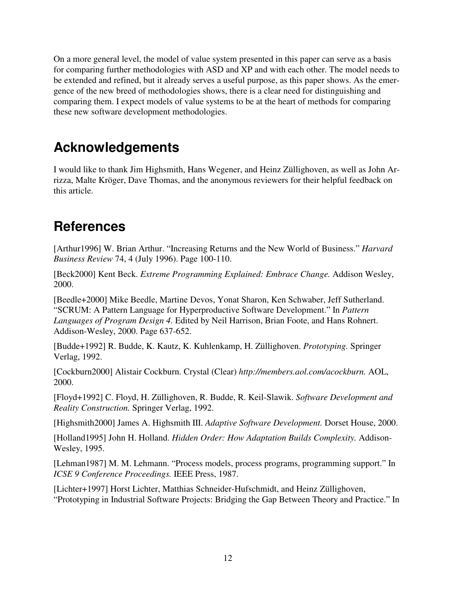On a more general level, the model of value system presented in this paper can serve as a basis for comparing further methodologies with ASD and XP and with each other. The model needs to be extended and refined, but it already serves a useful purpose, as this paper shows. As the emergence of the new breed of methodologies shows, there is a clear need for distinguishing and comparing them. I expect models of value systems to be at the heart of methods for comparing these new software development methodologies.

## **Acknowledgements**

I would like to thank Jim Highsmith, Hans Wegener, and Heinz Züllighoven, as well as John Arrizza, Malte Kröger, Dave Thomas, and the anonymous reviewers for their helpful feedback on this article.

### **References**

[Arthur1996] W. Brian Arthur. "Increasing Returns and the New World of Business." *Harvard Business Review* 74, 4 (July 1996). Page 100-110.

[Beck2000] Kent Beck. *Extreme Programming Explained: Embrace Change.* Addison Wesley, 2000.

[Beedle+2000] Mike Beedle, Martine Devos, Yonat Sharon, Ken Schwaber, Jeff Sutherland. "SCRUM: A Pattern Language for Hyperproductive Software Development." In *Pattern Languages of Program Design 4.* Edited by Neil Harrison, Brian Foote, and Hans Rohnert. Addison-Wesley, 2000. Page 637-652.

[Budde+1992] R. Budde, K. Kautz, K. Kuhlenkamp, H. Züllighoven. *Prototyping.* Springer Verlag, 1992.

[Cockburn2000] Alistair Cockburn. Crystal (Clear) *http://members.aol.com/acockburn.* AOL, 2000.

[Floyd+1992] C. Floyd, H. Züllighoven, R. Budde, R. Keil-Slawik. *Software Development and Reality Construction.* Springer Verlag, 1992.

[Highsmith2000] James A. Highsmith III. *Adaptive Software Development.* Dorset House, 2000.

[Holland1995] John H. Holland. *Hidden Order: How Adaptation Builds Complexity.* Addison-Wesley, 1995.

[Lehman1987] M. M. Lehmann. "Process models, process programs, programming support." In *ICSE 9 Conference Proceedings.* IEEE Press, 1987.

[Lichter+1997] Horst Lichter, Matthias Schneider-Hufschmidt, and Heinz Züllighoven, "Prototyping in Industrial Software Projects: Bridging the Gap Between Theory and Practice." In